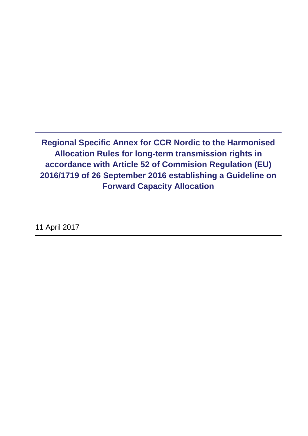**Regional Specific Annex for CCR Nordic to the Harmonised Allocation Rules for long-term transmission rights in accordance with Article 52 of Commision Regulation (EU) 2016/1719 of 26 September 2016 establishing a Guideline on Forward Capacity Allocation** 

11 April 2017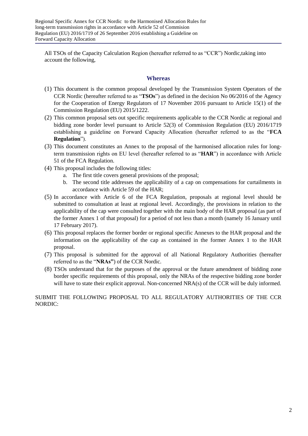All TSOs of the Capacity Calculation Region (hereafter referred to as "CCR") Nordic,taking into account the following,

#### **Whereas**

- (1) This document is the common proposal developed by the Transmission System Operators of the CCR Nordic (hereafter referred to as "**TSOs**") as defined in the decision No 06/2016 of the Agency for the Cooperation of Energy Regulators of 17 November 2016 pursuant to Article 15(1) of the Commission Regulation (EU) 2015/1222.
- (2) This common proposal sets out specific requirements applicable to the CCR Nordic at regional and bidding zone border level pursuant to Article 52(3) of Commission Regulation (EU) 2016/1719 establishing a guideline on Forward Capacity Allocation (hereafter referred to as the "**FCA Regulation**").
- (3) This document constitutes an Annex to the proposal of the harmonised allocation rules for longterm transmission rights on EU level (hereafter referred to as "**HAR**") in accordance with Article 51 of the FCA Regulation.
- (4) This proposal includes the following titles:
	- a. The first title covers general provisions of the proposal;
	- b. The second title addresses the applicability of a cap on compensations for curtailments in accordance with Article 59 of the HAR;
- (5) In accordance with Article 6 of the FCA Regulation, proposals at regional level should be submitted to consultation at least at regional level. Accordingly, the provisions in relation to the applicability of the cap were consulted together with the main body of the HAR proposal (as part of the former Annex 1 of that proposal) for a period of not less than a month (namely 16 January until 17 February 2017).
- (6) This proposal replaces the former border or regional specific Annexes to the HAR proposal and the information on the applicability of the cap as contained in the former Annex 1 to the HAR proposal.
- (7) This proposal is submitted for the approval of all National Regulatory Authorities (hereafter referred to as the "**NRAs"**) of the CCR Nordic.
- (8) TSOs understand that for the purposes of the approval or the future amendment of bidding zone border specific requirements of this proposal, only the NRAs of the respective bidding zone border will have to state their explicit approval. Non-concerned NRA(s) of the CCR will be duly informed.

SUBMIT THE FOLLOWING PROPOSAL TO ALL REGULATORY AUTHORITIES OF THE CCR NORDIC: